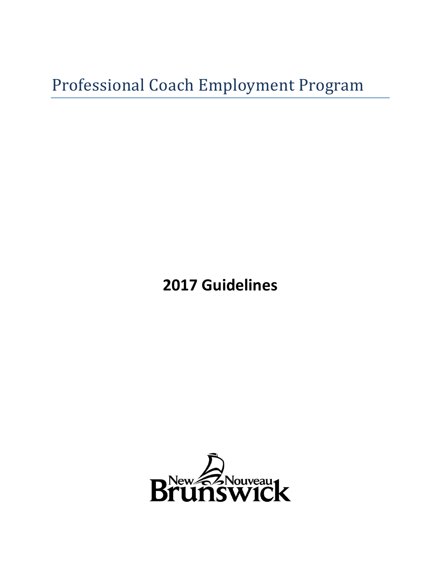# Professional Coach Employment Program

**2017 Guidelines** 

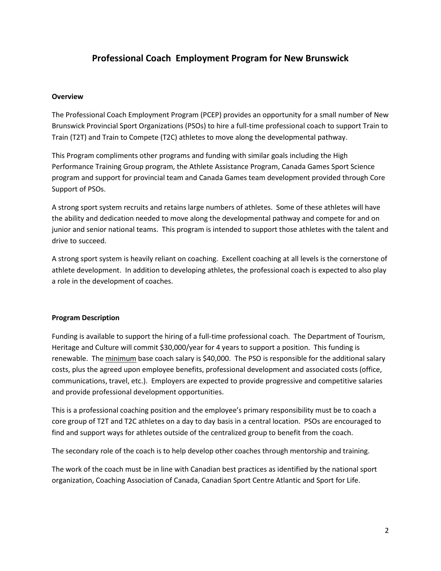# **Professional Coach Employment Program for New Brunswick**

#### **Overview**

The Professional Coach Employment Program (PCEP) provides an opportunity for a small number of New Brunswick Provincial Sport Organizations (PSOs) to hire a full-time professional coach to support Train to Train (T2T) and Train to Compete (T2C) athletes to move along the developmental pathway.

This Program compliments other programs and funding with similar goals including the High Performance Training Group program, the Athlete Assistance Program, Canada Games Sport Science program and support for provincial team and Canada Games team development provided through Core Support of PSOs.

A strong sport system recruits and retains large numbers of athletes. Some of these athletes will have the ability and dedication needed to move along the developmental pathway and compete for and on junior and senior national teams. This program is intended to support those athletes with the talent and drive to succeed.

A strong sport system is heavily reliant on coaching. Excellent coaching at all levels is the cornerstone of athlete development. In addition to developing athletes, the professional coach is expected to also play a role in the development of coaches.

## **Program Description**

Funding is available to support the hiring of a full-time professional coach. The Department of Tourism, Heritage and Culture will commit \$30,000/year for 4 years to support a position. This funding is renewable. The minimum base coach salary is \$40,000. The PSO is responsible for the additional salary costs, plus the agreed upon employee benefits, professional development and associated costs (office, communications, travel, etc.). Employers are expected to provide progressive and competitive salaries and provide professional development opportunities.

This is a professional coaching position and the employee's primary responsibility must be to coach a core group of T2T and T2C athletes on a day to day basis in a central location. PSOs are encouraged to find and support ways for athletes outside of the centralized group to benefit from the coach.

The secondary role of the coach is to help develop other coaches through mentorship and training.

The work of the coach must be in line with Canadian best practices as identified by the national sport organization, Coaching Association of Canada, Canadian Sport Centre Atlantic and Sport for Life.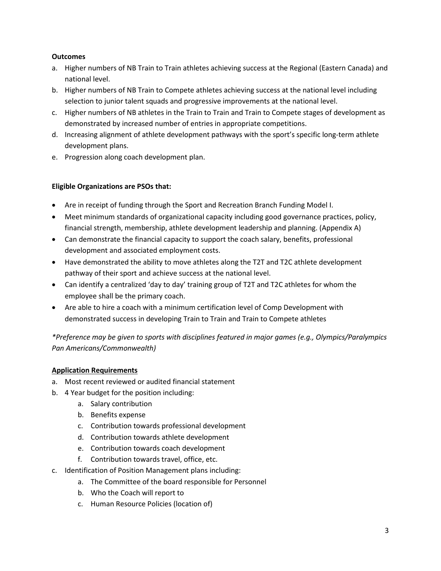#### **Outcomes**

- a. Higher numbers of NB Train to Train athletes achieving success at the Regional (Eastern Canada) and national level.
- b. Higher numbers of NB Train to Compete athletes achieving success at the national level including selection to junior talent squads and progressive improvements at the national level.
- c. Higher numbers of NB athletes in the Train to Train and Train to Compete stages of development as demonstrated by increased number of entries in appropriate competitions.
- d. Increasing alignment of athlete development pathways with the sport's specific long-term athlete development plans.
- e. Progression along coach development plan.

## **Eligible Organizations are PSOs that:**

- Are in receipt of funding through the Sport and Recreation Branch Funding Model I.
- Meet minimum standards of organizational capacity including good governance practices, policy, financial strength, membership, athlete development leadership and planning. (Appendix A)
- Can demonstrate the financial capacity to support the coach salary, benefits, professional development and associated employment costs.
- Have demonstrated the ability to move athletes along the T2T and T2C athlete development pathway of their sport and achieve success at the national level.
- Can identify a centralized 'day to day' training group of T2T and T2C athletes for whom the employee shall be the primary coach.
- Are able to hire a coach with a minimum certification level of Comp Development with demonstrated success in developing Train to Train and Train to Compete athletes

*\*Preference may be given to sports with disciplines featured in major games (e.g., Olympics/Paralympics Pan Americans/Commonwealth)*

## **Application Requirements**

- a. Most recent reviewed or audited financial statement
- b. 4 Year budget for the position including:
	- a. Salary contribution
	- b. Benefits expense
	- c. Contribution towards professional development
	- d. Contribution towards athlete development
	- e. Contribution towards coach development
	- f. Contribution towards travel, office, etc.
- c. Identification of Position Management plans including:
	- a. The Committee of the board responsible for Personnel
	- b. Who the Coach will report to
	- c. Human Resource Policies (location of)